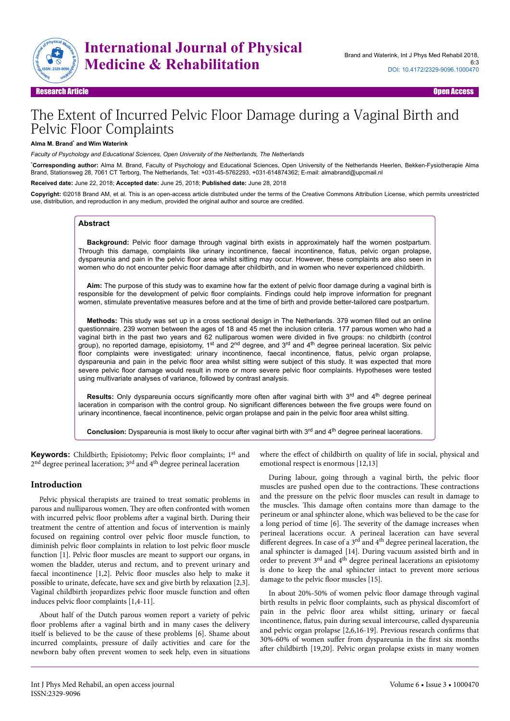

# The Extent of Incurred Pelvic Floor Damage during a Vaginal Birth and Pelvic Floor Complaints

#### **Alma M. Brand**\*  **and Wim Waterink**

*Faculty of Psychology and Educational Sciences, Open University of the Netherlands, The Netherlands*

\***Corresponding author:** Alma M. Brand, Faculty of Psychology and Educational Sciences, Open University of the Netherlands Heerlen, Bekken-Fysiotherapie Alma Brand, Stationsweg 28, 7061 CT Terborg, The Netherlands, Tel: +031-45-5762293, +031-614874362; E-mail: almabrand@upcmail.nl

**Received date:** June 22, 2018; **Accepted date:** June 25, 2018; **Published date:** June 28, 2018

**Copyright:** ©2018 Brand AM, et al. This is an open-access article distributed under the terms of the Creative Commons Attribution License, which permits unrestricted use, distribution, and reproduction in any medium, provided the original author and source are credited.

## **Abstract**

**Background:** Pelvic floor damage through vaginal birth exists in approximately half the women postpartum. Through this damage, complaints like urinary incontinence, faecal incontinence, flatus, pelvic organ prolapse, dyspareunia and pain in the pelvic floor area whilst sitting may occur. However, these complaints are also seen in women who do not encounter pelvic floor damage after childbirth, and in women who never experienced childbirth.

**Aim:** The purpose of this study was to examine how far the extent of pelvic floor damage during a vaginal birth is responsible for the development of pelvic floor complaints. Findings could help improve information for pregnant women, stimulate preventative measures before and at the time of birth and provide better-tailored care postpartum.

**Methods:** This study was set up in a cross sectional design in The Netherlands. 379 women filled out an online questionnaire. 239 women between the ages of 18 and 45 met the inclusion criteria. 177 parous women who had a vaginal birth in the past two years and 62 nulliparous women were divided in five groups: no childbirth (control group), no reported damage, episiotomy, 1<sup>st</sup> and 2<sup>nd</sup> degree, and 3<sup>rd</sup> and 4<sup>th</sup> degree perineal laceration. Six pelvic floor complaints were investigated: urinary incontinence, faecal incontinence, flatus, pelvic organ prolapse, dyspareunia and pain in the pelvic floor area whilst sitting were subject of this study. It was expected that more severe pelvic floor damage would result in more or more severe pelvic floor complaints. Hypotheses were tested using multivariate analyses of variance, followed by contrast analysis.

Results: Only dyspareunia occurs significantly more often after vaginal birth with 3<sup>rd</sup> and 4<sup>th</sup> degree perineal laceration in comparison with the control group. No significant differences between the five groups were found on urinary incontinence, faecal incontinence, pelvic organ prolapse and pain in the pelvic floor area whilst sitting.

Conclusion: Dyspareunia is most likely to occur after vaginal birth with 3<sup>rd</sup> and 4<sup>th</sup> degree perineal lacerations.

**Keywords:** Childbirth; Episiotomy; Pelvic floor complaints; 1<sup>st</sup> and 2<sup>nd</sup> degree perineal laceration; 3<sup>rd</sup> and 4<sup>th</sup> degree perineal laceration

#### **Introduction**

Pelvic physical therapists are trained to treat somatic problems in parous and nulliparous women. They are often confronted with women with incurred pelvic floor problems after a vaginal birth. During their treatment the centre of attention and focus of intervention is mainly focused on regaining control over pelvic floor muscle function, to diminish pelvic floor complaints in relation to lost pelvic floor muscle function [1]. Pelvic floor muscles are meant to support our organs, in women the bladder, uterus and rectum, and to prevent urinary and faecal incontinence [1,2]. Pelvic floor muscles also help to make it possible to urinate, defecate, have sex and give birth by relaxation [2,3]. Vaginal childbirth jeopardizes pelvic floor muscle function and often induces pelvic floor complaints [1,4-11].

About half of the Dutch parous women report a variety of pelvic floor problems after a vaginal birth and in many cases the delivery itself is believed to be the cause of these problems [6]. Shame about incurred complaints, pressure of daily activities and care for the newborn baby often prevent women to seek help, even in situations where the effect of childbirth on quality of life in social, physical and emotional respect is enormous [12,13]

During labour, going through a vaginal birth, the pelvic floor muscles are pushed open due to the contractions. Нese contractions and the pressure on the pelvic floor muscles can result in damage to the muscles. This damage often contains more than damage to the perineum or anal sphincter alone, which was believed to be the case for a long period of time [6]. Нe severity of the damage increases when perineal lacerations occur. A perineal laceration can have several different degrees. In case of a 3<sup>rd</sup> and 4<sup>th</sup> degree perineal laceration, the anal sphincter is damaged [14]. During vacuum assisted birth and in order to prevent 3rd and 4th degree perineal lacerations an episiotomy is done to keep the anal sphincter intact to prevent more serious damage to the pelvic floor muscles [15].

In about 20%-50% of women pelvic floor damage through vaginal birth results in pelvic floor complaints, such as physical discomfort of pain in the pelvic floor area whilst sitting, urinary or faecal incontinence, flatus, pain during sexual intercourse, called dyspareunia and pelvic organ prolapse [2,6,16-19]. Previous research confirms that 30%-60% of women suffer from dyspareunia in the first six months after childbirth [19,20]. Pelvic organ prolapse exists in many women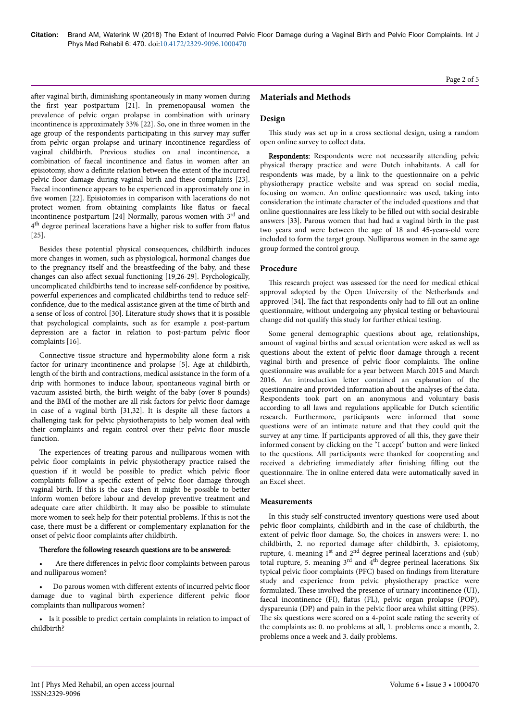after vaginal birth, diminishing spontaneously in many women during the first year postpartum [21]. In premenopausal women the prevalence of pelvic organ prolapse in combination with urinary incontinence is approximately 33% [22]. So, one in three women in the age group of the respondents participating in this survey may suffer from pelvic organ prolapse and urinary incontinence regardless of vaginal childbirth. Previous studies on anal incontinence, a combination of faecal incontinence and flatus in women after an episiotomy, show a definite relation between the extent of the incurred pelvic floor damage during vaginal birth and these complaints [23]. Faecal incontinence appears to be experienced in approximately one in five women [22]. Episiotomies in comparison with lacerations do not protect women from obtaining complaints like flatus or faecal incontinence postpartum [24] Normally, parous women with  $3<sup>rd</sup>$  and 4<sup>th</sup> degree perineal lacerations have a higher risk to suffer from flatus [25].

Besides these potential physical consequences, childbirth induces more changes in women, such as physiological, hormonal changes due to the pregnancy itself and the breastfeeding of the baby, and these changes can also affect sexual functioning [19,26-29]. Psychologically, uncomplicated childbirths tend to increase self-confidence by positive, powerful experiences and complicated childbirths tend to reduce selfconfidence, due to the medical assistance given at the time of birth and a sense of loss of control [30]. Literature study shows that it is possible that psychological complaints, such as for example a post-partum depression are a factor in relation to post-partum pelvic floor complaints [16].

Connective tissue structure and hypermobility alone form a risk factor for urinary incontinence and prolapse [5]. Age at childbirth, length of the birth and contractions, medical assistance in the form of a drip with hormones to induce labour, spontaneous vaginal birth or vacuum assisted birth, the birth weight of the baby (over 8 pounds) and the BMI of the mother are all risk factors for pelvic floor damage in case of a vaginal birth [31,32]. It is despite all these factors a challenging task for pelvic physiotherapists to help women deal with their complaints and regain control over their pelvic floor muscle function.

The experiences of treating parous and nulliparous women with pelvic floor complaints in pelvic physiotherapy practice raised the question if it would be possible to predict which pelvic floor complaints follow a specific extent of pelvic floor damage through vaginal birth. If this is the case then it might be possible to better inform women before labour and develop preventive treatment and adequate care after childbirth. It may also be possible to stimulate more women to seek help for their potential problems. If this is not the case, there must be a different or complementary explanation for the onset of pelvic floor complaints after childbirth.

# Therefore the following research questions are to be answered:

Are there differences in pelvic floor complaints between parous and nulliparous women?

• Do parous women with different extents of incurred pelvic floor damage due to vaginal birth experience different pelvic floor complaints than nulliparous women?

• Is it possible to predict certain complaints in relation to impact of childbirth?

# **Materials and Methods**

## **Design**

This study was set up in a cross sectional design, using a random open online survey to collect data.

Respondents: Respondents were not necessarily attending pelvic physical therapy practice and were Dutch inhabitants. A call for respondents was made, by a link to the questionnaire on a pelvic physiotherapy practice website and was spread on social media, focusing on women. An online questionnaire was used, taking into consideration the intimate character of the included questions and that online questionnaires are less likely to be filled out with social desirable answers [33]. Parous women that had had a vaginal birth in the past two years and were between the age of 18 and 45-years-old were included to form the target group. Nulliparous women in the same age group formed the control group.

## **Procedure**

This research project was assessed for the need for medical ethical approval adopted by the Open University of the Netherlands and approved [34]. Нe fact that respondents only had to fill out an online questionnaire, without undergoing any physical testing or behavioural change did not qualify this study for further ethical testing.

Some general demographic questions about age, relationships, amount of vaginal births and sexual orientation were asked as well as questions about the extent of pelvic floor damage through a recent vaginal birth and presence of pelvic floor complaints. Нe online questionnaire was available for a year between March 2015 and March 2016. An introduction letter contained an explanation of the questionnaire and provided information about the analyses of the data. Respondents took part on an anonymous and voluntary basis according to all laws and regulations applicable for Dutch scientific research. Furthermore, participants were informed that some questions were of an intimate nature and that they could quit the survey at any time. If participants approved of all this, they gave their informed consent by clicking on the "I accept" button and were linked to the questions. All participants were thanked for cooperating and received a debriefing immediately after finishing filling out the questionnaire. Нe in online entered data were automatically saved in an Excel sheet.

## **Measurements**

In this study self-constructed inventory questions were used about pelvic floor complaints, childbirth and in the case of childbirth, the extent of pelvic floor damage. So, the choices in answers were: 1. no childbirth, 2. no reported damage after childbirth, 3. episiotomy, rupture, 4. meaning 1<sup>st</sup> and 2<sup>nd</sup> degree perineal lacerations and (sub) total rupture, 5. meaning  $3<sup>rd</sup>$  and  $4<sup>th</sup>$  degree perineal lacerations. Six typical pelvic floor complaints (PFC) based on findings from literature study and experience from pelvic physiotherapy practice were formulated. Нese involved the presence of urinary incontinence (UI), faecal incontinence (FI), flatus (FL), pelvic organ prolapse (POP), dyspareunia (DP) and pain in the pelvic floor area whilst sitting (PPS). The six questions were scored on a 4-point scale rating the severity of the complaints as: 0. no problems at all, 1. problems once a month, 2. problems once a week and 3. daily problems.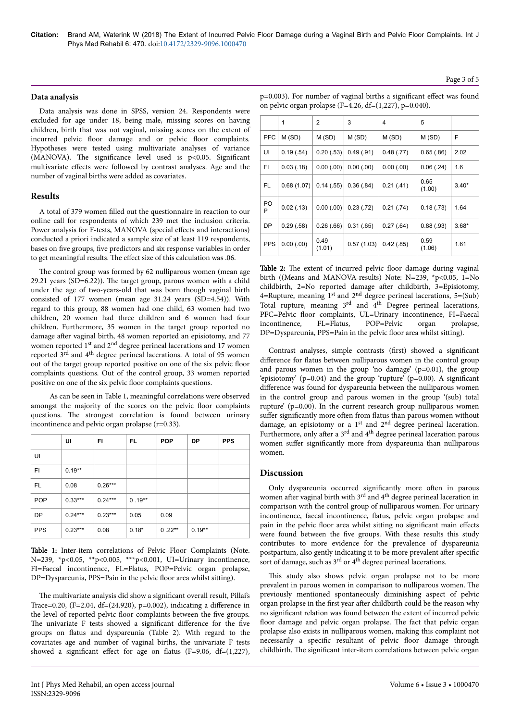# **Data analysis**

Data analysis was done in SPSS, version 24. Respondents were excluded for age under 18, being male, missing scores on having children, birth that was not vaginal, missing scores on the extent of incurred pelvic floor damage and or pelvic floor complaints. Hypotheses were tested using multivariate analyses of variance (MANOVA). Нe significance level used is p<0.05. Significant multivariate effects were followed by contrast analyses. Age and the number of vaginal births were added as covariates.

# **Results**

A total of 379 women filled out the questionnaire in reaction to our online call for respondents of which 239 met the inclusion criteria. Power analysis for F-tests, MANOVA (special effects and interactions) conducted a priori indicated a sample size of at least 119 respondents, bases on five groups, five predictors and six response variables in order to get meaningful results. The effect size of this calculation was .06.

The control group was formed by 62 nulliparous women (mean age 29.21 years (SD=6.22)). Нe target group, parous women with a child under the age of two-years-old that was born though vaginal birth consisted of 177 women (mean age 31.24 years (SD=4.54)). With regard to this group, 88 women had one child, 63 women had two children, 20 women had three children and 6 women had four children. Furthermore, 35 women in the target group reported no damage after vaginal birth, 48 women reported an episiotomy, and 77 women reported  $1<sup>st</sup>$  and  $2<sup>nd</sup>$  degree perineal lacerations and 17 women reported 3rd and 4th degree perineal lacerations. A total of 95 women out of the target group reported positive on one of the six pelvic floor complaints questions. Out of the control group, 33 women reported positive on one of the six pelvic floor complaints questions.

As can be seen in Table 1, meaningful correlations were observed amongst the majority of the scores on the pelvic floor complaints questions. Нe strongest correlation is found between urinary incontinence and pelvic organ prolapse (r=0.33).

|            | UI        | FI        | FL.      | <b>POP</b> | <b>DP</b> | <b>PPS</b> |
|------------|-----------|-----------|----------|------------|-----------|------------|
| UI         |           |           |          |            |           |            |
| FI         | $0.19**$  |           |          |            |           |            |
| FL.        | 0.08      | $0.26***$ |          |            |           |            |
| <b>POP</b> | $0.33***$ | $0.24***$ | $0.19**$ |            |           |            |
| <b>DP</b>  | $0.24***$ | $0.23***$ | 0.05     | 0.09       |           |            |
| <b>PPS</b> | $0.23***$ | 0.08      | $0.18*$  | $0.22***$  | $0.19**$  |            |

Table 1: Inter-item correlations of Pelvic Floor Complaints (Note. N=239, \*p<0.05, \*\*p<0.005, \*\*\*p<0.001, UI=Urinary incontinence, FI=Faecal incontinence, FL=Flatus, POP=Pelvic organ prolapse, DP=Dyspareunia, PPS=Pain in the pelvic floor area whilst sitting).

The multivariate analysis did show a significant overall result, Pillai's Trace=0.20, (F=2.04, df=(24.920), p=0.002), indicating a difference in the level of reported pelvic floor complaints between the five groups. The univariate F tests showed a significant difference for the five groups on flatus and dyspareunia (Table 2). With regard to the covariates age and number of vaginal births, the univariate F tests showed a significant effect for age on flatus (F=9.06, df= $(1,227)$ ,

|            | 1          | $\overline{2}$ | 3          | 4          | 5              |         |
|------------|------------|----------------|------------|------------|----------------|---------|
| <b>PFC</b> | M(SD)      | M (SD)         | M (SD)     | M(SD)      | M(SD)          | F       |
| UI         | 0.19(.54)  | 0.20(.53)      | 0.49(.91)  | 0.48(.77)  | 0.65(.86)      | 2.02    |
| FI.        | 0.03(0.18) | 0.00(0.00)     | 0.00(0.00) | 0.00(0.00) | 0.06(.24)      | 1.6     |
| FL.        | 0.68(1.07) | 0.14(0.55)     | 0.36(.84)  | 0.21(.41)  | 0.65<br>(1.00) | $3.40*$ |
| PO<br>P    | 0.02(0.13) | 0.00(0.00)     | 0.23(0.72) | 0.21(.74)  | 0.18(.73)      | 1.64    |
| <b>DP</b>  | 0.29(.58)  | 0.26(.66)      | 0.31(.65)  | 0.27(.64)  | 0.88(.93)      | $3.68*$ |
| <b>PPS</b> | 0.00(0.00) | 0.49<br>(1.01) | 0.57(1.03) | 0.42(.85)  | 0.59<br>(1.06) | 1.61    |

Table 2: The extent of incurred pelvic floor damage during vaginal birth ((Means and MANOVA-results) Note: N=239, \*p<0.05, 1=No childbirth,  $2=No$  reported damage after childbirth,  $3=E$ pisiotomy, 4=Rupture, meaning  $1<sup>st</sup>$  and  $2<sup>nd</sup>$  degree perineal lacerations, 5=(Sub) Total rupture, meaning 3<sup>rd</sup> and 4<sup>th</sup> Degree perineal lacerations, PFC=Pelvic floor complaints, UL=Urinary incontinence, FI=Faecal incontinence, FL=Flatus, POP=Pelvic organ prolapse, DP=Dyspareunia, PPS=Pain in the pelvic floor area whilst sitting).

Contrast analyses, simple contrasts (first) showed a significant difference for flatus between nulliparous women in the control group and parous women in the group 'no damage'  $(p=0.01)$ , the group 'episiotomy' (p=0.04) and the group 'rupture' (p=0.00). A significant difference was found for dyspareunia between the nulliparous women in the control group and parous women in the group '(sub) total rupture' (p=0.00). In the current research group nulliparous women suffer significantly more often from flatus than parous women without damage, an episiotomy or a 1<sup>st</sup> and 2<sup>nd</sup> degree perineal laceration. Furthermore, only after a 3<sup>rd</sup> and 4<sup>th</sup> degree perineal laceration parous women suffer significantly more from dyspareunia than nulliparous women.

## **Discussion**

Only dyspareunia occurred significantly more often in parous women after vaginal birth with  $3<sup>rd</sup>$  and  $4<sup>th</sup>$  degree perineal laceration in comparison with the control group of nulliparous women. For urinary incontinence, faecal incontinence, flatus, pelvic organ prolapse and pain in the pelvic floor area whilst sitting no significant main effects were found between the five groups. With these results this study contributes to more evidence for the prevalence of dyspareunia postpartum, also gently indicating it to be more prevalent after specific sort of damage, such as  $3<sup>rd</sup>$  or  $4<sup>th</sup>$  degree perineal lacerations.

This study also shows pelvic organ prolapse not to be more prevalent in parous women in comparison to nulliparous women. Нe previously mentioned spontaneously diminishing aspect of pelvic organ prolapse in the first year after childbirth could be the reason why no significant relation was found between the extent of incurred pelvic floor damage and pelvic organ prolapse. The fact that pelvic organ prolapse also exists in nulliparous women, making this complaint not necessarily a specific resultant of pelvic floor damage through childbirth. Нe significant inter-item correlations between pelvic organ

### Page 3 of 5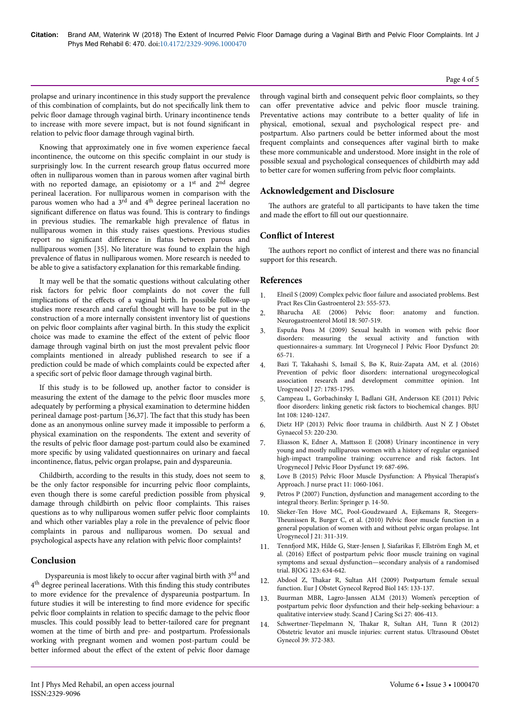# Page 4 of 5

prolapse and urinary incontinence in this study support the prevalence of this combination of complaints, but do not specifically link them to pelvic floor damage through vaginal birth. Urinary incontinence tends to increase with more severe impact, but is not found significant in relation to pelvic floor damage through vaginal birth.

Knowing that approximately one in five women experience faecal incontinence, the outcome on this specific complaint in our study is surprisingly low. In the current research group flatus occurred more often in nulliparous women than in parous women after vaginal birth with no reported damage, an episiotomy or a 1<sup>st</sup> and 2<sup>nd</sup> degree perineal laceration. For nulliparous women in comparison with the parous women who had a 3<sup>rd</sup> and 4<sup>th</sup> degree perineal laceration no significant difference on flatus was found. This is contrary to findings in previous studies. Нe remarkable high prevalence of flatus in nulliparous women in this study raises questions. Previous studies report no significant difference in flatus between parous and nulliparous women [35]. No literature was found to explain the high prevalence of flatus in nulliparous women. More research is needed to be able to give a satisfactory explanation for this remarkable finding.

It may well be that the somatic questions without calculating other risk factors for pelvic floor complaints do not cover the full implications of the effects of a vaginal birth. In possible follow-up studies more research and careful thought will have to be put in the construction of a more internally consistent inventory list of questions on pelvic floor complaints after vaginal birth. In this study the explicit choice was made to examine the effect of the extent of pelvic floor damage through vaginal birth on just the most prevalent pelvic floor complaints mentioned in already published research to see if a prediction could be made of which complaints could be expected after a specific sort of pelvic floor damage through vaginal birth.

If this study is to be followed up, another factor to consider is measuring the extent of the damage to the pelvic floor muscles more adequately by performing a physical examination to determine hidden perineal damage post-partum [36,37]. Нe fact that this study has been done as an anonymous online survey made it impossible to perform a physical examination on the respondents. Нe extent and severity of the results of pelvic floor damage post-partum could also be examined more specific by using validated questionnaires on urinary and faecal incontinence, flatus, pelvic organ prolapse, pain and dyspareunia.

Childbirth, according to the results in this study, does not seem to be the only factor responsible for incurring pelvic floor complaints, even though there is some careful prediction possible from physical damage through childbirth on pelvic floor complaints. Нis raises questions as to why nulliparous women suffer pelvic floor complaints and which other variables play a role in the prevalence of pelvic floor complaints in parous and nulliparous women. Do sexual and psychological aspects have any relation with pelvic floor complaints?

# **Conclusion**

Dyspareunia is most likely to occur after vaginal birth with 3<sup>rd</sup> and 4<sup>th</sup> degree perineal lacerations. With this finding this study contributes to more evidence for the prevalence of dyspareunia postpartum. In future studies it will be interesting to find more evidence for specific pelvic floor complaints in relation to specific damage to the pelvic floor muscles. Нis could possibly lead to better-tailored care for pregnant women at the time of birth and pre- and postpartum. Professionals working with pregnant women and women post-partum could be better informed about the effect of the extent of pelvic floor damage

through vaginal birth and consequent pelvic floor complaints, so they can offer preventative advice and pelvic floor muscle training. Preventative actions may contribute to a better quality of life in physical, emotional, sexual and psychological respect pre- and postpartum. Also partners could be better informed about the most frequent complaints and consequences after vaginal birth to make these more communicable and understood. More insight in the role of possible sexual and psychological consequences of childbirth may add to better care for women suffering from pelvic floor complaints.

# **Acknowledgement and Disclosure**

The authors are grateful to all participants to have taken the time and made the effort to fill out our questionnaire.

# **Conflict of Interest**

The authors report no conflict of interest and there was no financial support for this research.

# **References**

- Elneil S (2009) Complex pelvic floor [failure and associated problems. Best](https://doi.org/10.1016/j.bpg.2009.04.011) [Pract Res Clin Gastroenterol 23: 555-573.](https://doi.org/10.1016/j.bpg.2009.04.011)
- 2. [Bharucha AE \(2006\) Pelvic](https://doi.org/10.1111/j.1365-2982.2006.00803.x) floor: anatomy and function. [Neurogastroenterol Motil 18: 507-519.](https://doi.org/10.1111/j.1365-2982.2006.00803.x)
- 3. [Espuña Pons M \(2009\) Sexual health in women with pelvic](https://doi.org/10.1007/s00192-009-0828-7) floor [disorders: measuring the sexual activity and function with](https://doi.org/10.1007/s00192-009-0828-7) [questionnaires-a summary. Int Urogynecol J Pelvic Floor Dysfunct 20:](https://doi.org/10.1007/s00192-009-0828-7) [65-71.](https://doi.org/10.1007/s00192-009-0828-7)
- 4. [Bazi T, Takahashi S, Ismail S, Bø K, Ruiz-Zapata AM, et al. \(2016\)](https://doi.org/10.1007/s00192-016-2993-9) Prevention of pelvic floor [disorders: international urogynecological](https://doi.org/10.1007/s00192-016-2993-9) [association research and development committee opinion. Int](https://doi.org/10.1007/s00192-016-2993-9) [Urogynecol J 27: 1785-1795.](https://doi.org/10.1007/s00192-016-2993-9)
- 5. [Campeau L, Gorbachinsky I, Badlani GH, Andersson KE \(2011\) Pelvic](https://doi.org/10.1111/j.1464-410X.2011.10385.x) floor [disorders: linking genetic risk factors to biochemical changes. BJU](https://doi.org/10.1111/j.1464-410X.2011.10385.x) [Int 108: 1240-1247.](https://doi.org/10.1111/j.1464-410X.2011.10385.x)
- 6. Dietz HP (2013) Pelvic floor [trauma in childbirth. Aust N Z J Obstet](https://doi.org/10.1111/ajo.12059) [Gynaecol 53: 220-230.](https://doi.org/10.1111/ajo.12059)
- 7. Eliasson K, Edner A, Mattsson E (2008) Urinary incontinence in very young and mostly nulliparous women with a history of regular organised high-impact trampoline training: occurrence and risk factors. Int Urogynecol J Pelvic Floor Dysfunct 19: 687-696.
- 8. [Love B \(2015\) Pelvic Floor Muscle Dysfunction: A Physical](https://doi.org/10.1016/j.nurpra.2015.08.020) Therapist's [Approach. J nurse pract 11: 1060-1061.](https://doi.org/10.1016/j.nurpra.2015.08.020)
- 9. Petros P (2007) Function, dysfunction and management according to the integral theory. Berlin: Springer p. 14-50.
- 10. [Slieker-Ten Hove MC, Pool-Goudzwaard A, Eijkemans R,](https://doi.org/10.1007/s00192-009-1037-0) Steegers-Нeunissen [R, Burger C, et al. \(2010\) Pelvic](https://doi.org/10.1007/s00192-009-1037-0) floor muscle function in a [general population of women with and without pelvic organ prolapse. Int](https://doi.org/10.1007/s00192-009-1037-0) [Urogynecol J 21: 311-319.](https://doi.org/10.1007/s00192-009-1037-0)
- 11. Tennfjord [MK, Hilde G, Stær-Jensen J, Siafarikas F, Ellström Engh M, et](https://doi.org/10.1111/1471-0528.13823) al. (2016) Effect of postpartum pelvic floor [muscle training on vaginal](https://doi.org/10.1111/1471-0528.13823) [symptoms and sexual dysfunction—secondary analysis of a randomised](https://doi.org/10.1111/1471-0528.13823) [trial. BJOG 123: 634-642.](https://doi.org/10.1111/1471-0528.13823)
- 12. Abdool Z, Нakar [R, Sultan AH \(2009\) Postpartum female sexual](https://doi.org/10.1016/j.ejogrb.2009.04.014) [function. Eur J Obstet Gynecol Reprod Biol 145: 133-137.](https://doi.org/10.1016/j.ejogrb.2009.04.014)
- 13. [Buurman MBR, Lagro-Janssen ALM \(2013\) Women's perception of](https://doi.org/10.1111/j.1471-6712.2012.01044.x) postpartum pelvic floor [dysfunction and their help-seeking behaviour: a](https://doi.org/10.1111/j.1471-6712.2012.01044.x) [qualitative interview study. Scand J Caring Sci 27: 406-413.](https://doi.org/10.1111/j.1471-6712.2012.01044.x)
- 14. Schwertner-Tiepelmann N, Нakar [R, Sultan AH, Tunn R \(2012\)](https://doi.org/10.1002/uog.11080) [Obstetric levator ani muscle injuries: current status. Ultrasound Obstet](https://doi.org/10.1002/uog.11080) [Gynecol 39: 372-383.](https://doi.org/10.1002/uog.11080)